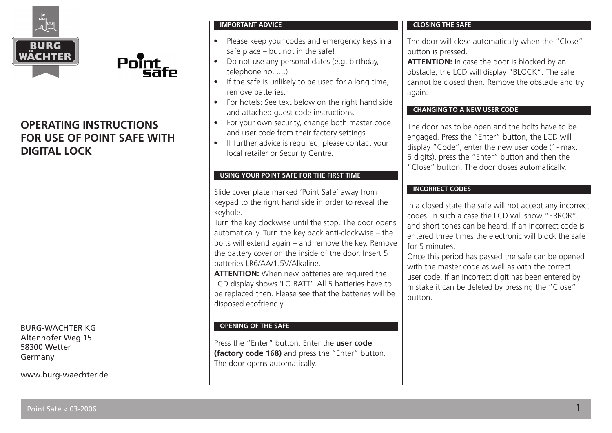

# **OPERATING INSTRUCTIONS FOR USE OF POINT SAFE WITH DIGITAL LOCK**

Point

BURG-WÄCHTER KG Altenhofer Weg 15 58300 Wetter Germany

www.burg-waechter.de

### **IMPORTANT ADVICE**

- Please keep your codes and emergency keys in a safe place – but not in the safe!
- Do not use any personal dates (e.g. birthday, telephone no. ....)
- If the safe is unlikely to be used for a long time, remove batteries.
- For hotels: See text below on the right hand side and attached guest code instructions.
- For your own security, change both master code and user code from their factory settings.
- If further advice is required, please contact your local retailer or Security Centre.

### **USING YOUR POINT SAFE FOR THE FIRST TIME**

Slide cover plate marked 'Point Safe' away from keypad to the right hand side in order to reveal the keyhole.

Turn the key clockwise until the stop. The door opens automatically. Turn the key back anti-clockwise – the bolts will extend again – and remove the key. Remove the battery cover on the inside of the door. Insert 5 batteries LR6/AA/1.5V/Alkaline.

**ATTENTION:** When new batteries are required the LCD display shows 'LO BATT'. All 5 batteries have to be replaced then. Please see that the batteries will be disposed ecofriendly.

# **OPENING OF THE SAFE**

Press the "Enter" button. Enter the **user code (factory code 168)** and press the "Enter" button. The door opens automatically.

### **CLOSING THE SAFE**

The door will close automatically when the "Close" button is pressed.

**ATTENTION:** In case the door is blocked by an obstacle, the LCD will display "BLOCK". The safe cannot be closed then. Remove the obstacle and try again.

## **CHANGING TO A NEW USER CODE**

The door has to be open and the bolts have to be engaged. Press the "Enter" button, the LCD will display "Code", enter the new user code (1- max. 6 digits), press the "Enter" button and then the "Close" button. The door closes automatically.

## **INCORRECT CODES**

In a closed state the safe will not accept any incorrect codes. In such a case the LCD will show "ERROR" and short tones can be heard. If an incorrect code is entered three times the electronic will block the safe for 5 minutes.

Once this period has passed the safe can be opened with the master code as well as with the correct user code. If an incorrect digit has been entered by mistake it can be deleted by pressing the "Close" button.